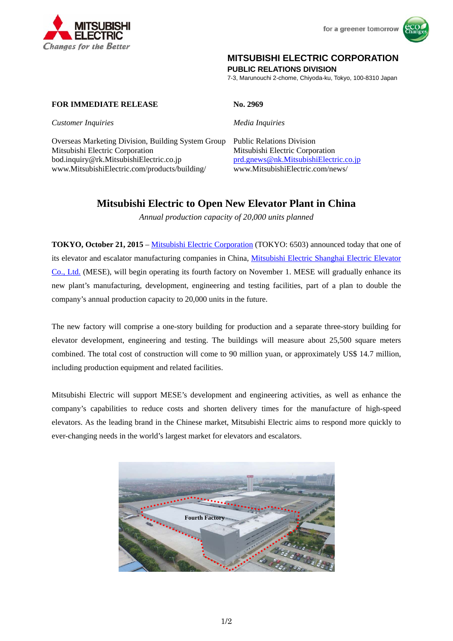



## **MITSUBISHI ELECTRIC CORPORATION**

**PUBLIC RELATIONS DIVISION** 

7-3, Marunouchi 2-chome, Chiyoda-ku, Tokyo, 100-8310 Japan

## **FOR IMMEDIATE RELEASE No. 2969**

*Customer Inquiries Media Inquiries*

Overseas Marketing Division, Building System Group Public Relations Division Mitsubishi Electric Corporation Mitsubishi Electric Corporation bod.inquiry@rk.MitsubishiElectric.co.jp prd.gnews@nk.MitsubishiElectric.co.jp www.MitsubishiElectric.com/products/building/ www.MitsubishiElectric.com/news/

# **Mitsubishi Electric to Open New Elevator Plant in China**

*Annual production capacity of 20,000 units planned* 

**TOKYO, October 21, 2015** – Mitsubishi Electric Corporation (TOKYO: 6503) announced today that one of its elevator and escalator manufacturing companies in China, Mitsubishi Electric Shanghai Electric Elevator Co., Ltd. (MESE), will begin operating its fourth factory on November 1. MESE will gradually enhance its new plant's manufacturing, development, engineering and testing facilities, part of a plan to double the company's annual production capacity to 20,000 units in the future.

The new factory will comprise a one-story building for production and a separate three-story building for elevator development, engineering and testing. The buildings will measure about 25,500 square meters combined. The total cost of construction will come to 90 million yuan, or approximately US\$ 14.7 million, including production equipment and related facilities.

Mitsubishi Electric will support MESE's development and engineering activities, as well as enhance the company's capabilities to reduce costs and shorten delivery times for the manufacture of high-speed elevators. As the leading brand in the Chinese market, Mitsubishi Electric aims to respond more quickly to ever-changing needs in the world's largest market for elevators and escalators.